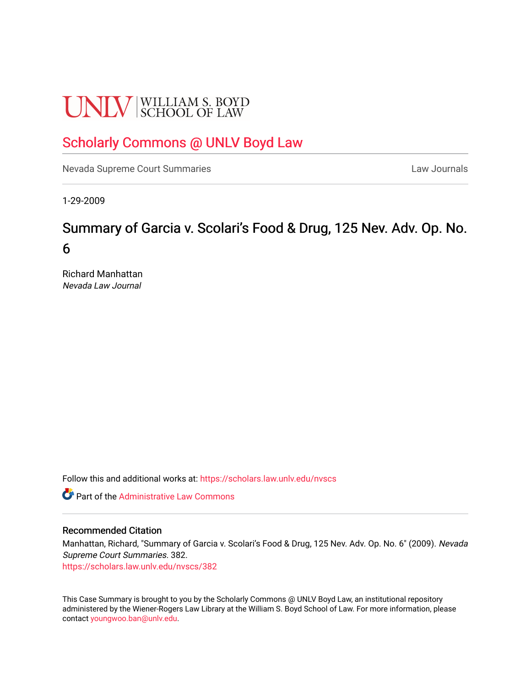# **UNLV** SCHOOL OF LAW

# [Scholarly Commons @ UNLV Boyd Law](https://scholars.law.unlv.edu/)

[Nevada Supreme Court Summaries](https://scholars.law.unlv.edu/nvscs) **Law Journals** Law Journals

1-29-2009

# Summary of Garcia v. Scolari's Food & Drug, 125 Nev. Adv. Op. No. 6

Richard Manhattan Nevada Law Journal

Follow this and additional works at: [https://scholars.law.unlv.edu/nvscs](https://scholars.law.unlv.edu/nvscs?utm_source=scholars.law.unlv.edu%2Fnvscs%2F382&utm_medium=PDF&utm_campaign=PDFCoverPages)

**C** Part of the Administrative Law Commons

#### Recommended Citation

Manhattan, Richard, "Summary of Garcia v. Scolari's Food & Drug, 125 Nev. Adv. Op. No. 6" (2009). Nevada Supreme Court Summaries. 382.

[https://scholars.law.unlv.edu/nvscs/382](https://scholars.law.unlv.edu/nvscs/382?utm_source=scholars.law.unlv.edu%2Fnvscs%2F382&utm_medium=PDF&utm_campaign=PDFCoverPages)

This Case Summary is brought to you by the Scholarly Commons @ UNLV Boyd Law, an institutional repository administered by the Wiener-Rogers Law Library at the William S. Boyd School of Law. For more information, please contact [youngwoo.ban@unlv.edu](mailto:youngwoo.ban@unlv.edu).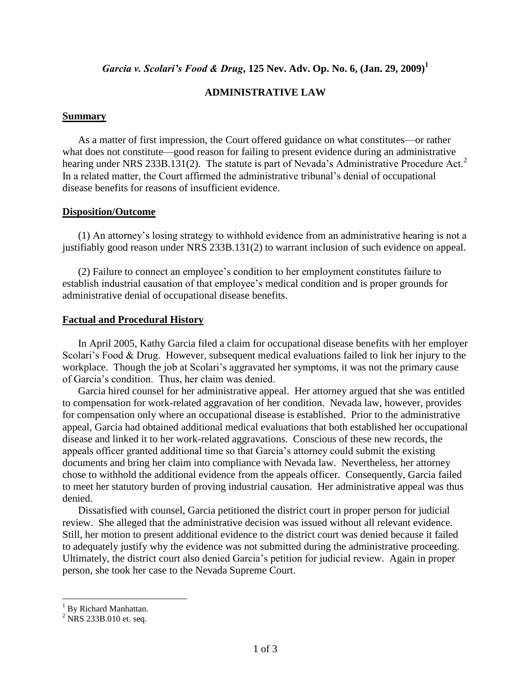# *Garcia v. Scolari's Food & Drug***, 125 Nev. Adv. Op. No. 6, (Jan. 29, 2009)<sup>1</sup>**

# **ADMINISTRATIVE LAW**

#### **Summary**

As a matter of first impression, the Court offered guidance on what constitutes—or rather what does not constitute—good reason for failing to present evidence during an administrative hearing under NRS 233B.131(2). The statute is part of Nevada's Administrative Procedure Act.<sup>2</sup> In a related matter, the Court affirmed the administrative tribunal's denial of occupational disease benefits for reasons of insufficient evidence.

#### **Disposition/Outcome**

(1) An attorney's losing strategy to withhold evidence from an administrative hearing is not a justifiably good reason under NRS 233B.131(2) to warrant inclusion of such evidence on appeal.

(2) Failure to connect an employee's condition to her employment constitutes failure to establish industrial causation of that employee's medical condition and is proper grounds for administrative denial of occupational disease benefits.

#### **Factual and Procedural History**

In April 2005, Kathy Garcia filed a claim for occupational disease benefits with her employer Scolari's Food & Drug. However, subsequent medical evaluations failed to link her injury to the workplace. Though the job at Scolari's aggravated her symptoms, it was not the primary cause of Garcia's condition. Thus, her claim was denied.

Garcia hired counsel for her administrative appeal. Her attorney argued that she was entitled to compensation for work-related aggravation of her condition. Nevada law, however, provides for compensation only where an occupational disease is established. Prior to the administrative appeal, Garcia had obtained additional medical evaluations that both established her occupational disease and linked it to her work-related aggravations. Conscious of these new records, the appeals officer granted additional time so that Garcia's attorney could submit the existing documents and bring her claim into compliance with Nevada law. Nevertheless, her attorney chose to withhold the additional evidence from the appeals officer. Consequently, Garcia failed to meet her statutory burden of proving industrial causation. Her administrative appeal was thus denied.

Dissatisfied with counsel, Garcia petitioned the district court in proper person for judicial review. She alleged that the administrative decision was issued without all relevant evidence. Still, her motion to present additional evidence to the district court was denied because it failed to adequately justify why the evidence was not submitted during the administrative proceeding. Ultimately, the district court also denied Garcia's petition for judicial review. Again in proper person, she took her case to the Nevada Supreme Court.

 $\overline{a}$ 

<sup>&</sup>lt;sup>1</sup> By Richard Manhattan.

 $^{2}$  NRS 233B.010 et. seq.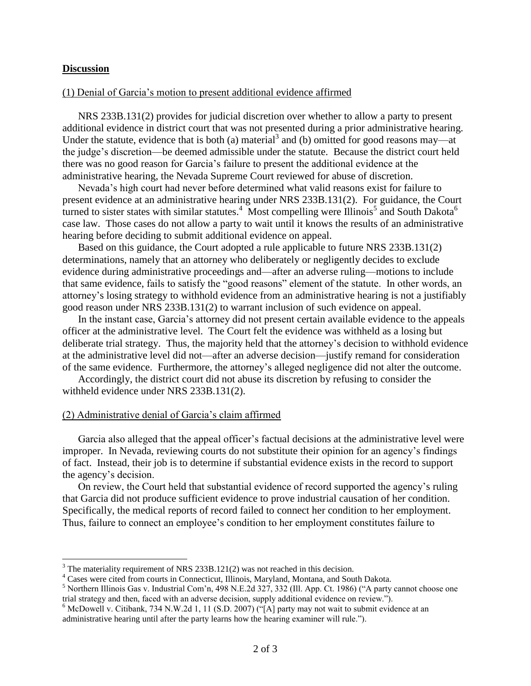#### **Discussion**

 $\overline{a}$ 

#### (1) Denial of Garcia's motion to present additional evidence affirmed

NRS 233B.131(2) provides for judicial discretion over whether to allow a party to present additional evidence in district court that was not presented during a prior administrative hearing. Under the statute, evidence that is both (a) material<sup>3</sup> and (b) omitted for good reasons may—at the judge's discretion—be deemed admissible under the statute. Because the district court held there was no good reason for Garcia's failure to present the additional evidence at the administrative hearing, the Nevada Supreme Court reviewed for abuse of discretion.

Nevada's high court had never before determined what valid reasons exist for failure to present evidence at an administrative hearing under NRS 233B.131(2). For guidance, the Court turned to sister states with similar statutes.<sup>4</sup> Most compelling were Illinois<sup>5</sup> and South Dakota<sup>6</sup> case law. Those cases do not allow a party to wait until it knows the results of an administrative hearing before deciding to submit additional evidence on appeal.

Based on this guidance, the Court adopted a rule applicable to future NRS 233B.131(2) determinations, namely that an attorney who deliberately or negligently decides to exclude evidence during administrative proceedings and—after an adverse ruling—motions to include that same evidence, fails to satisfy the "good reasons" element of the statute. In other words, an attorney's losing strategy to withhold evidence from an administrative hearing is not a justifiably good reason under NRS 233B.131(2) to warrant inclusion of such evidence on appeal.

In the instant case, Garcia's attorney did not present certain available evidence to the appeals officer at the administrative level. The Court felt the evidence was withheld as a losing but deliberate trial strategy. Thus, the majority held that the attorney's decision to withhold evidence at the administrative level did not—after an adverse decision—justify remand for consideration of the same evidence. Furthermore, the attorney's alleged negligence did not alter the outcome.

Accordingly, the district court did not abuse its discretion by refusing to consider the withheld evidence under NRS 233B.131(2).

#### (2) Administrative denial of Garcia's claim affirmed

Garcia also alleged that the appeal officer's factual decisions at the administrative level were improper. In Nevada, reviewing courts do not substitute their opinion for an agency's findings of fact. Instead, their job is to determine if substantial evidence exists in the record to support the agency's decision.

On review, the Court held that substantial evidence of record supported the agency's ruling that Garcia did not produce sufficient evidence to prove industrial causation of her condition. Specifically, the medical reports of record failed to connect her condition to her employment. Thus, failure to connect an employee's condition to her employment constitutes failure to

<sup>&</sup>lt;sup>3</sup> The materiality requirement of NRS 233B.121(2) was not reached in this decision.

<sup>4</sup> Cases were cited from courts in Connecticut, Illinois, Maryland, Montana, and South Dakota.

 $<sup>5</sup>$  Northern Illinois Gas v. Industrial Com'n, 498 N.E.2d 327, 332 (Ill. App. Ct. 1986) ("A party cannot choose one</sup> trial strategy and then, faced with an adverse decision, supply additional evidence on review.").

<sup>&</sup>lt;sup>6</sup> McDowell v. Citibank, 734 N.W.2d 1, 11 (S.D. 2007) ("[A] party may not wait to submit evidence at an administrative hearing until after the party learns how the hearing examiner will rule.").